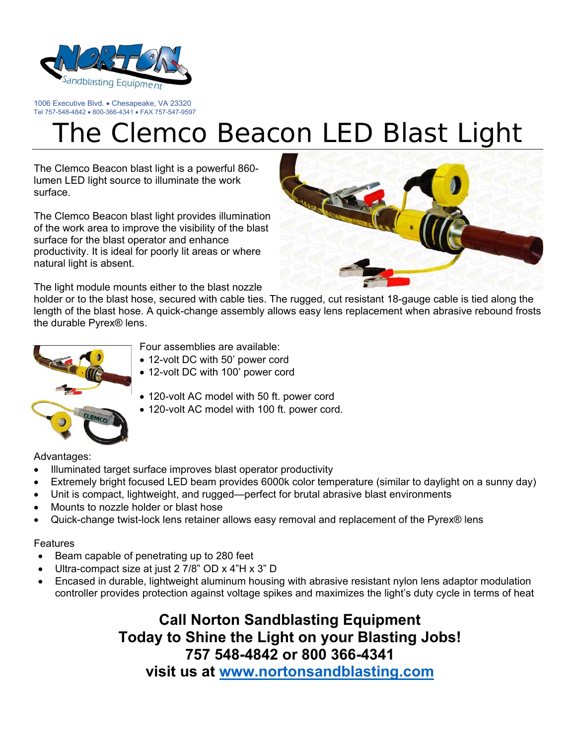

1006 Executive Blvd. • Chesapeake, VA 23320 Tel 757-548-4842 · 800-366-4341 · FAX 757-547-9597

## The Clemco Beacon LED Blast Light

The Clemco Beacon blast light is a powerful 860 lumen LED light source to illuminate the work surface.

The Clemco Beacon blast light provides illumination of the work area to improve the visibility of the blast surface for the blast operator and enhance productivity. It is ideal for poorly lit areas or where natural light is absent.



The light module mounts either to the blast nozzle

holder or to the blast hose, secured with cable ties. The rugged, cut resistant 18-gauge cable is tied along the length of the blast hose. A quick-change assembly allows easy lens replacement when abrasive rebound frosts the durable Pyrex® lens.



- Four assemblies are available:
- 12-volt DC with 50' power cord
- 12-volt DC with 100' power cord
- 120-volt AC model with 50 ft. power cord
- 120-volt AC model with 100 ft. power cord.

Advantages:

- Illuminated target surface improves blast operator productivity
- Extremely bright focused LED beam provides 6000k color temperature (similar to daylight on a sunny day)
- Unit is compact, lightweight, and rugged—perfect for brutal abrasive blast environments
- Mounts to nozzle holder or blast hose
- Quick-change twist-lock lens retainer allows easy removal and replacement of the Pyrex® lens

## Features

- Beam capable of penetrating up to 280 feet
- Ultra-compact size at just 2 7/8" OD x 4"H x 3" D
- Encased in durable, lightweight aluminum housing with abrasive resistant nylon lens adaptor modulation controller provides protection against voltage spikes and maximizes the light's duty cycle in terms of heat

**Call Norton Sandblasting Equipment Today to Shine the Light on your Blasting Jobs! 757 548-4842 or 800 366-4341** 

**visit us at www.nortonsandblasting.com**